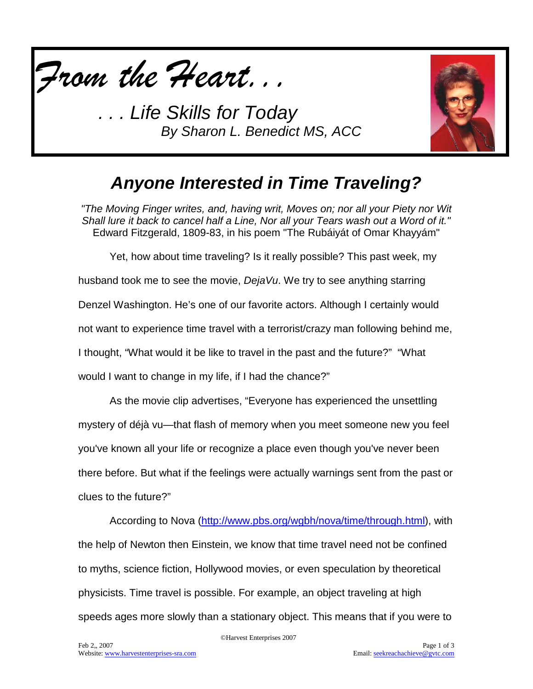

*. . . Life Skills for Today By Sharon L. Benedict MS, ACC*



### *Anyone Interested in Time Traveling?*

*"The Moving Finger writes, and, having writ, Moves on; nor all your Piety nor Wit Shall lure it back to cancel half a Line, Nor all your Tears wash out a Word of it."* Edward Fitzgerald, 1809-83, in his poem "The Rubáiyát of Omar Khayyám"

Yet, how about time traveling? Is it really possible? This past week, my husband took me to see the movie, *DejaVu*. We try to see anything starring Denzel Washington. He's one of our favorite actors. Although I certainly would not want to experience time travel with a terrorist/crazy man following behind me, I thought, "What would it be like to travel in the past and the future?" "What would I want to change in my life, if I had the chance?"

As the movie clip advertises, "Everyone has experienced the unsettling mystery of déjà vu—that flash of memory when you meet someone new you feel you've known all your life or recognize a place even though you've never been there before. But what if the feelings were actually warnings sent from the past or clues to the future?"

According to Nova [\(http://www.pbs.org/wgbh/nova/time/through.html\)](http://www.pbs.org/wgbh/nova/time/through.html), with the help of Newton then Einstein, we know that time travel need not be confined to myths, science fiction, Hollywood movies, or even speculation by theoretical physicists. Time travel is possible. For example, an object traveling at high speeds ages more slowly than a stationary object. This means that if you were to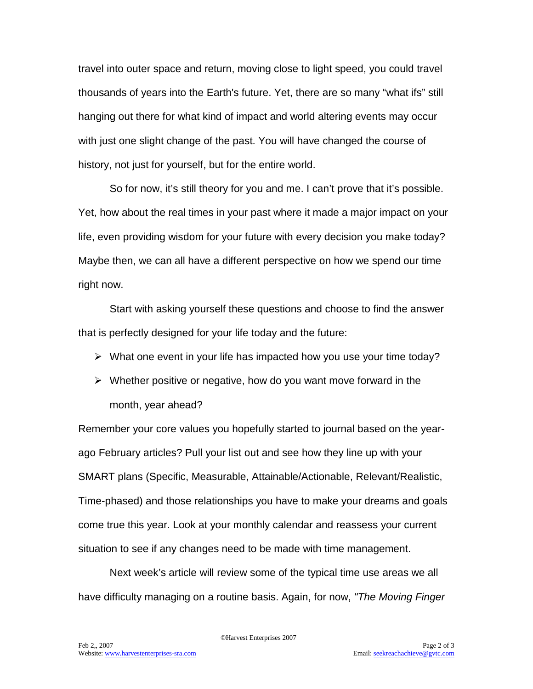travel into outer space and return, moving close to light speed, you could travel thousands of years into the Earth's future. Yet, there are so many "what ifs" still hanging out there for what kind of impact and world altering events may occur with just one slight change of the past. You will have changed the course of history, not just for yourself, but for the entire world.

So for now, it's still theory for you and me. I can't prove that it's possible. Yet, how about the real times in your past where it made a major impact on your life, even providing wisdom for your future with every decision you make today? Maybe then, we can all have a different perspective on how we spend our time right now.

Start with asking yourself these questions and choose to find the answer that is perfectly designed for your life today and the future:

- $\triangleright$  What one event in your life has impacted how you use your time today?
- $\triangleright$  Whether positive or negative, how do you want move forward in the month, year ahead?

Remember your core values you hopefully started to journal based on the yearago February articles? Pull your list out and see how they line up with your SMART plans (Specific, Measurable, Attainable/Actionable, Relevant/Realistic, Time-phased) and those relationships you have to make your dreams and goals come true this year. Look at your monthly calendar and reassess your current situation to see if any changes need to be made with time management.

Next week's article will review some of the typical time use areas we all have difficulty managing on a routine basis. Again, for now, *"The Moving Finger*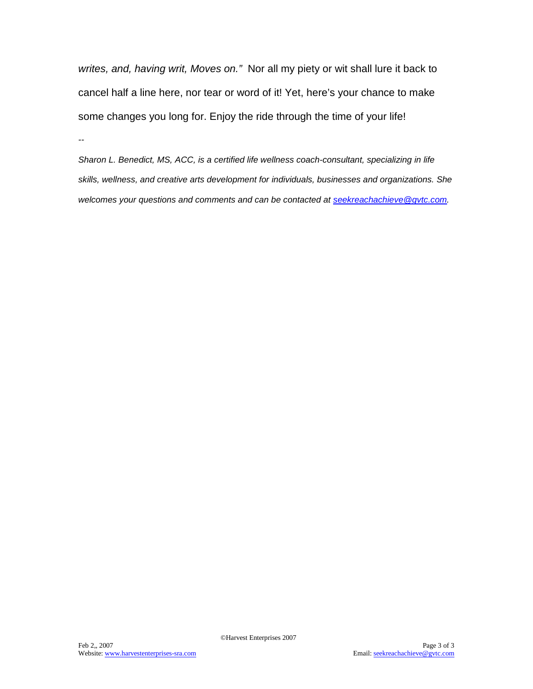*writes, and, having writ, Moves on."* Nor all my piety or wit shall lure it back to cancel half a line here, nor tear or word of it! Yet, here's your chance to make some changes you long for. Enjoy the ride through the time of your life!

*--*

*Sharon L. Benedict, MS, ACC, is a certified life wellness coach-consultant, specializing in life skills, wellness, and creative arts development for individuals, businesses and organizations. She welcomes your questions and comments and can be contacted at [seekreachachieve@gvtc.com.](mailto:seekreachachieve@gvtc.com)*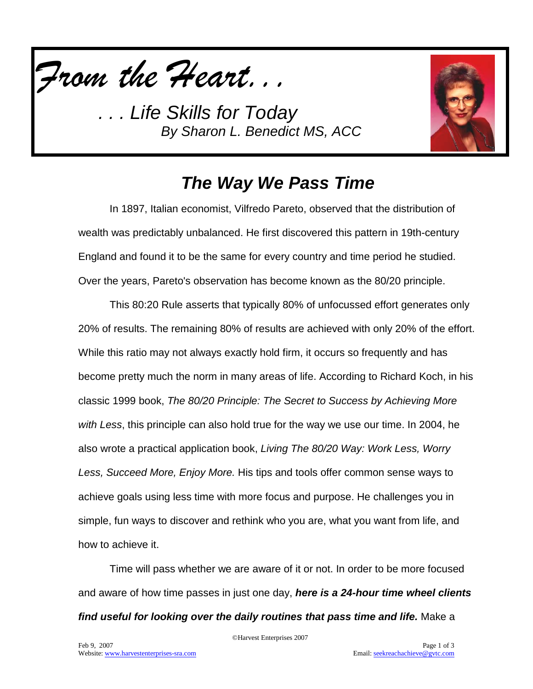

*. . . Life Skills for Today By Sharon L. Benedict MS, ACC*



### *The Way We Pass Time*

In 1897, Italian economist, Vilfredo Pareto, observed that the distribution of wealth was predictably unbalanced. He first discovered this pattern in 19th-century England and found it to be the same for every country and time period he studied. Over the years, Pareto's observation has become known as the 80/20 principle.

This 80:20 Rule asserts that typically 80% of unfocussed effort generates only 20% of results. The remaining 80% of results are achieved with only 20% of the effort. While this ratio may not always exactly hold firm, it occurs so frequently and has become pretty much the norm in many areas of life. According to Richard Koch, in his classic 1999 book, *The 80/20 Principle: The Secret to Success by Achieving More with Less*, this principle can also hold true for the way we use our time. In 2004, he also wrote a practical application book, *Living The 80/20 Way: Work Less, Worry Less, Succeed More, Enjoy More.* His tips and tools offer common sense ways to achieve goals using less time with more focus and purpose. He challenges you in simple, fun ways to discover and rethink who you are, what you want from life, and how to achieve it.

Time will pass whether we are aware of it or not. In order to be more focused and aware of how time passes in just one day, *here is a 24-hour time wheel clients find useful for looking over the daily routines that pass time and life.* Make a

©Harvest Enterprises 2007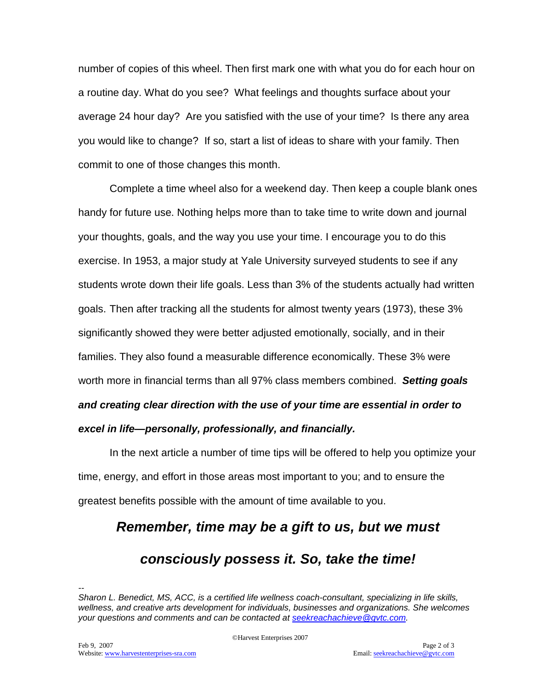number of copies of this wheel. Then first mark one with what you do for each hour on a routine day. What do you see? What feelings and thoughts surface about your average 24 hour day? Are you satisfied with the use of your time? Is there any area you would like to change? If so, start a list of ideas to share with your family. Then commit to one of those changes this month.

Complete a time wheel also for a weekend day. Then keep a couple blank ones handy for future use. Nothing helps more than to take time to write down and journal your thoughts, goals, and the way you use your time. I encourage you to do this exercise. In 1953, a major study at Yale University surveyed students to see if any students wrote down their life goals. Less than 3% of the students actually had written goals. Then after tracking all the students for almost twenty years (1973), these 3% significantly showed they were better adjusted emotionally, socially, and in their families. They also found a measurable difference economically. These 3% were worth more in financial terms than all 97% class members combined. *Setting goals and creating clear direction with the use of your time are essential in order to excel in life—personally, professionally, and financially.*

In the next article a number of time tips will be offered to help you optimize your time, energy, and effort in those areas most important to you; and to ensure the greatest benefits possible with the amount of time available to you.

# *Remember, time may be a gift to us, but we must*

### *consciously possess it. So, take the time!*

*-- Sharon L. Benedict, MS, ACC, is a certified life wellness coach-consultant, specializing in life skills, wellness, and creative arts development for individuals, businesses and organizations. She welcomes your questions and comments and can be contacted at [seekreachachieve@gvtc.com.](mailto:seekreachachieve@gvtc.com)*

©Harvest Enterprises 2007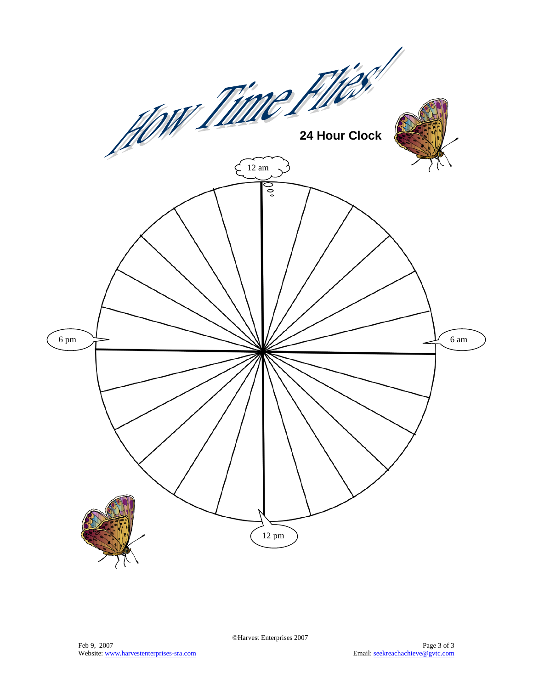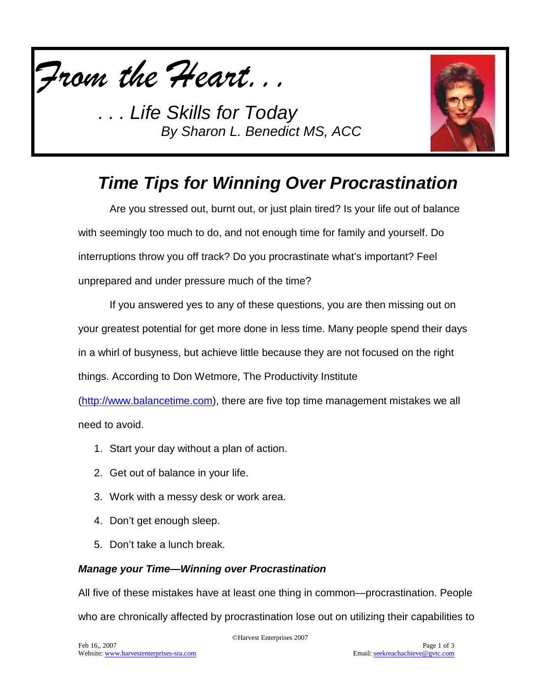

**Life Skills for Today** *By Sharon L. Benedict MS, ACC*



# *Time Tips for Winning Over Procrastination*

Are you stressed out, burnt out, or just plain tired? Is your life out of balance with seemingly too much to do, and not enough time for family and yourself. Do interruptions throw you off track? Do you procrastinate what's important? Feel unprepared and under pressure much of the time?

If you answered yes to any of these questions, you are then missing out on your greatest potential for get more done in less time. Many people spend their days in a whirl of busyness, but achieve little because they are not focused on the right things. According to Don Wetmore, The Productivity Institute

[\(http://www.balancetime.com\)](http://www.balancetime.com/), there are five top time management mistakes we all need to avoid.

- 1. Start your day without a plan of action.
- 2. Get out of balance in your life.
- 3. Work with a messy desk or work area.
- 4. Don't get enough sleep.
- 5. Don't take a lunch break.

#### *Manage your Time—Winning over Procrastination*

All five of these mistakes have at least one thing in common—procrastination. People who are chronically affected by procrastination lose out on utilizing their capabilities to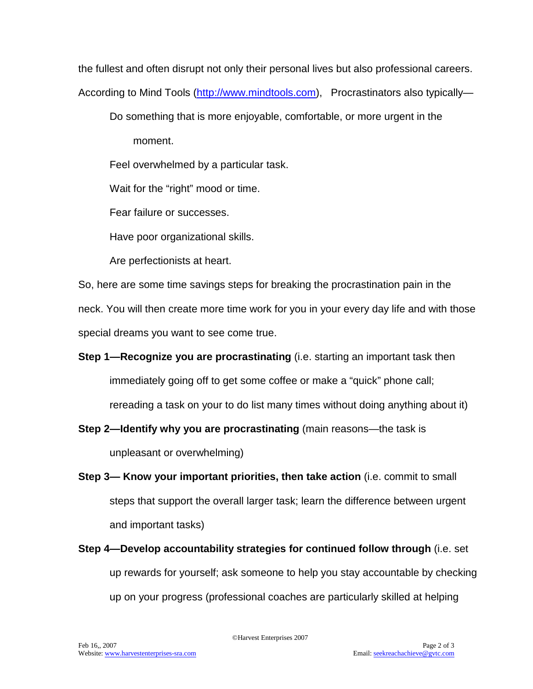the fullest and often disrupt not only their personal lives but also professional careers.

According to Mind Tools [\(http://www.mindtools.com\)](http://www.mindtools.com/), Procrastinators also typically-

Do something that is more enjoyable, comfortable, or more urgent in the

moment.

Feel overwhelmed by a particular task.

Wait for the "right" mood or time.

Fear failure or successes.

Have poor organizational skills.

Are perfectionists at heart.

So, here are some time savings steps for breaking the procrastination pain in the neck. You will then create more time work for you in your every day life and with those special dreams you want to see come true.

**Step 1—Recognize you are procrastinating** (i.e. starting an important task then immediately going off to get some coffee or make a "quick" phone call; rereading a task on your to do list many times without doing anything about it)

**Step 2—Identify why you are procrastinating** (main reasons—the task is unpleasant or overwhelming)

- **Step 3— Know your important priorities, then take action** (i.e. commit to small steps that support the overall larger task; learn the difference between urgent and important tasks)
- **Step 4—Develop accountability strategies for continued follow through** (i.e. set up rewards for yourself; ask someone to help you stay accountable by checking up on your progress (professional coaches are particularly skilled at helping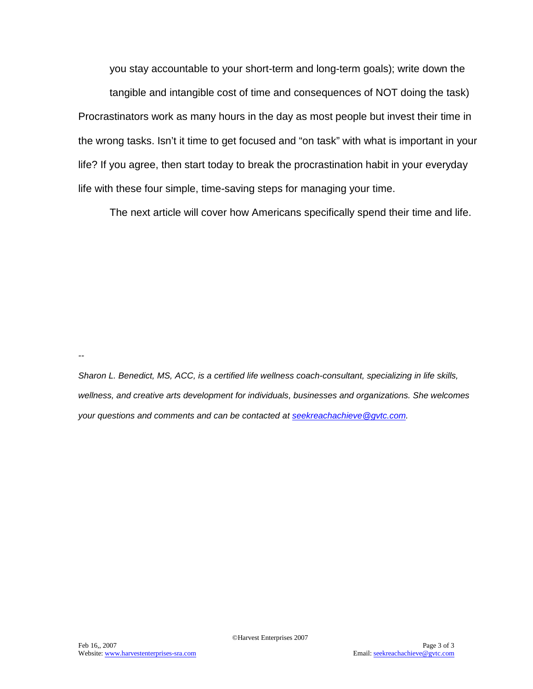you stay accountable to your short-term and long-term goals); write down the tangible and intangible cost of time and consequences of NOT doing the task) Procrastinators work as many hours in the day as most people but invest their time in the wrong tasks. Isn't it time to get focused and "on task" with what is important in your life? If you agree, then start today to break the procrastination habit in your everyday life with these four simple, time-saving steps for managing your time.

The next article will cover how Americans specifically spend their time and life.

*--*

*Sharon L. Benedict, MS, ACC, is a certified life wellness coach-consultant, specializing in life skills, wellness, and creative arts development for individuals, businesses and organizations. She welcomes your questions and comments and can be contacted at [seekreachachieve@gvtc.com.](mailto:seekreachachieve@gvtc.com)*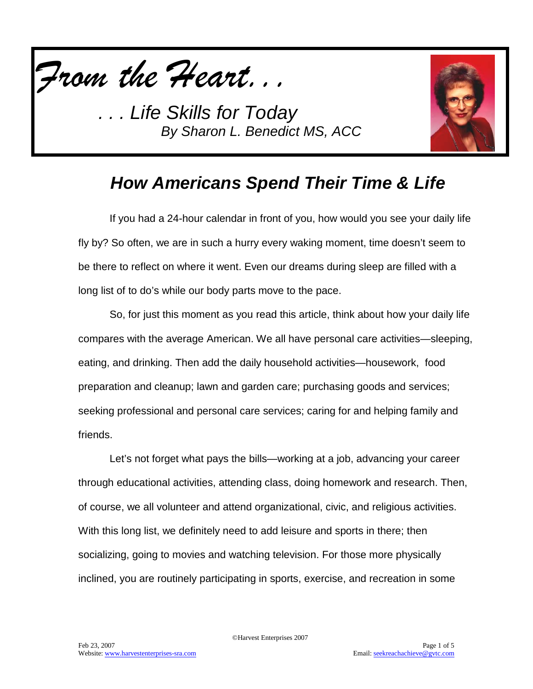

*. . . Life Skills for Today By Sharon L. Benedict MS, ACC*



# *How Americans Spend Their Time & Life*

If you had a 24-hour calendar in front of you, how would you see your daily life fly by? So often, we are in such a hurry every waking moment, time doesn't seem to be there to reflect on where it went. Even our dreams during sleep are filled with a long list of to do's while our body parts move to the pace.

So, for just this moment as you read this article, think about how your daily life compares with the average American. We all have personal care activities—sleeping, eating, and drinking. Then add the daily household activities—housework, food preparation and cleanup; lawn and garden care; purchasing goods and services; seeking professional and personal care services; caring for and helping family and friends.

Let's not forget what pays the bills—working at a job, advancing your career through educational activities, attending class, doing homework and research. Then, of course, we all volunteer and attend organizational, civic, and religious activities. With this long list, we definitely need to add leisure and sports in there; then socializing, going to movies and watching television. For those more physically inclined, you are routinely participating in sports, exercise, and recreation in some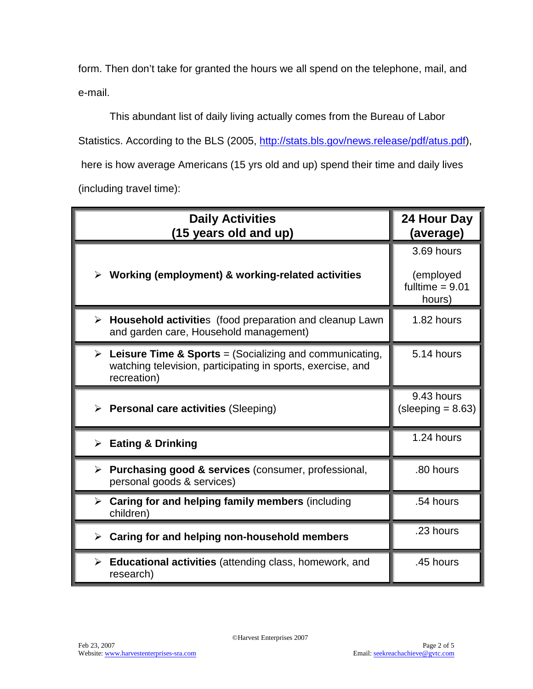form. Then don't take for granted the hours we all spend on the telephone, mail, and e-mail.

This abundant list of daily living actually comes from the Bureau of Labor Statistics. According to the BLS (2005, [http://stats.bls.gov/news.release/pdf/atus.pdf\)](http://stats.bls.gov/news.release/pdf/atus.pdf), here is how average Americans (15 yrs old and up) spend their time and daily lives (including travel time):

| <b>Daily Activities</b><br>(15 years old and up)                                                                                                      | 24 Hour Day<br>(average)                               |
|-------------------------------------------------------------------------------------------------------------------------------------------------------|--------------------------------------------------------|
| Working (employment) & working-related activities<br>➤                                                                                                | 3.69 hours<br>(employed<br>fulltime $= 9.01$<br>hours) |
| $\triangleright$ Household activities (food preparation and cleanup Lawn<br>and garden care, Household management)                                    | 1.82 hours                                             |
| <b>Leisure Time &amp; Sports</b> = (Socializing and communicating,<br>➤<br>watching television, participating in sports, exercise, and<br>recreation) | 5.14 hours                                             |
| $\triangleright$ Personal care activities (Sleeping)                                                                                                  | 9.43 hours<br>$(sleeping = 8.63)$                      |
| <b>Eating &amp; Drinking</b><br>$\blacktriangleright$                                                                                                 | 1.24 hours                                             |
| > Purchasing good & services (consumer, professional,<br>personal goods & services)                                                                   | .80 hours                                              |
| $\triangleright$ Caring for and helping family members (including<br>children)                                                                        | .54 hours                                              |
| Caring for and helping non-household members<br>➤                                                                                                     | .23 hours                                              |
| $\triangleright$ Educational activities (attending class, homework, and<br>research)                                                                  | .45 hours                                              |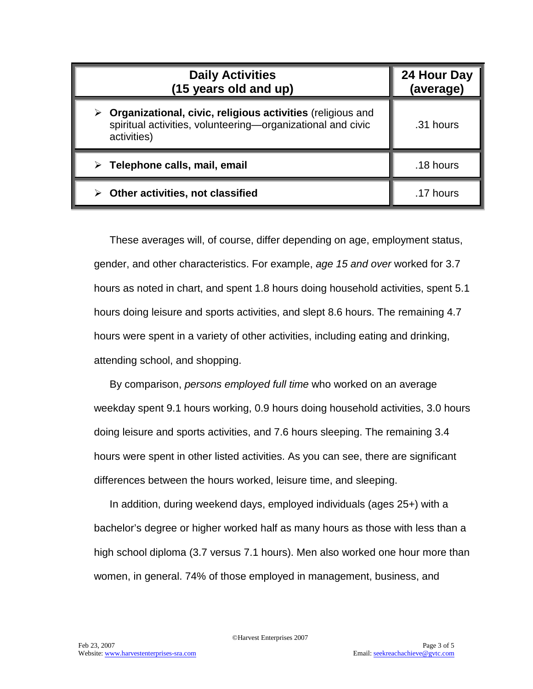| <b>Daily Activities</b><br>(15 years old and up)                                                                                              | 24 Hour Day<br>(average) |
|-----------------------------------------------------------------------------------------------------------------------------------------------|--------------------------|
| Organizational, civic, religious activities (religious and<br>➤<br>spiritual activities, volunteering-organizational and civic<br>activities) | .31 hours                |
| $\triangleright$ Telephone calls, mail, email                                                                                                 | .18 hours                |
| Other activities, not classified                                                                                                              | .17 hours                |

These averages will, of course, differ depending on age, employment status, gender, and other characteristics. For example, *age 15 and over* worked for 3.7 hours as noted in chart, and spent 1.8 hours doing household activities, spent 5.1 hours doing leisure and sports activities, and slept 8.6 hours. The remaining 4.7 hours were spent in a variety of other activities, including eating and drinking, attending school, and shopping.

By comparison, *persons employed full time* who worked on an average weekday spent 9.1 hours working, 0.9 hours doing household activities, 3.0 hours doing leisure and sports activities, and 7.6 hours sleeping. The remaining 3.4 hours were spent in other listed activities. As you can see, there are significant differences between the hours worked, leisure time, and sleeping.

In addition, during weekend days, employed individuals (ages 25+) with a bachelor's degree or higher worked half as many hours as those with less than a high school diploma (3.7 versus 7.1 hours). Men also worked one hour more than women, in general. 74% of those employed in management, business, and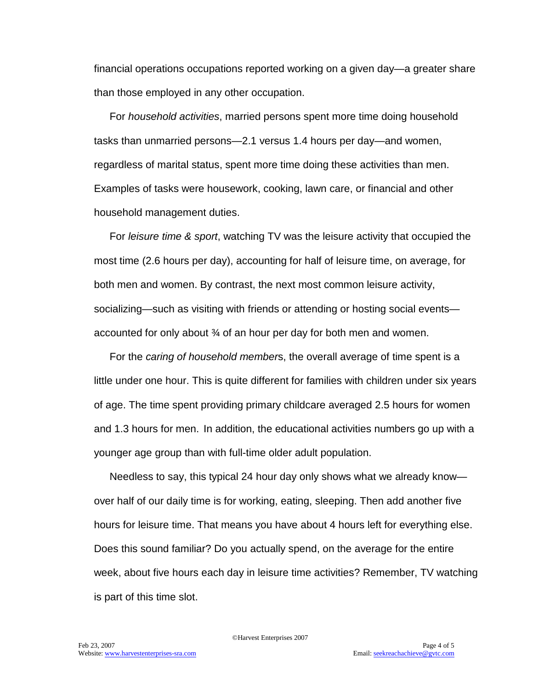financial operations occupations reported working on a given day—a greater share than those employed in any other occupation.

For *household activities*, married persons spent more time doing household tasks than unmarried persons—2.1 versus 1.4 hours per day—and women, regardless of marital status, spent more time doing these activities than men. Examples of tasks were housework, cooking, lawn care, or financial and other household management duties.

For *leisure time & sport*, watching TV was the leisure activity that occupied the most time (2.6 hours per day), accounting for half of leisure time, on average, for both men and women. By contrast, the next most common leisure activity, socializing—such as visiting with friends or attending or hosting social events accounted for only about  $\mathcal{U}$  of an hour per day for both men and women.

For the *caring of household member*s, the overall average of time spent is a little under one hour. This is quite different for families with children under six years of age. The time spent providing primary childcare averaged 2.5 hours for women and 1.3 hours for men. In addition, the educational activities numbers go up with a younger age group than with full-time older adult population.

Needless to say, this typical 24 hour day only shows what we already know over half of our daily time is for working, eating, sleeping. Then add another five hours for leisure time. That means you have about 4 hours left for everything else. Does this sound familiar? Do you actually spend, on the average for the entire week, about five hours each day in leisure time activities? Remember, TV watching is part of this time slot.